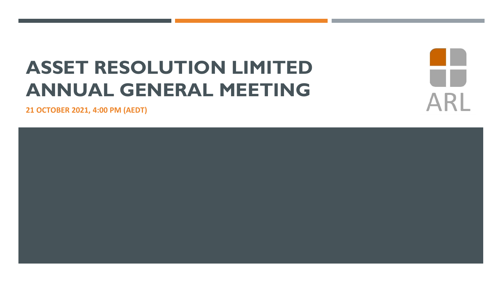## **ASSET RESOLUTION LIMITED ANNUAL GENERAL MEETING**

**21 OCTOBER 2021, 4:00 PM (AEDT)**



AR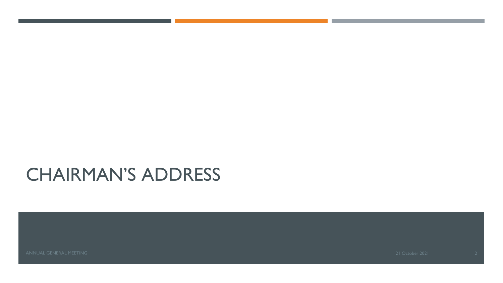## CHAIRMAN'S ADDRESS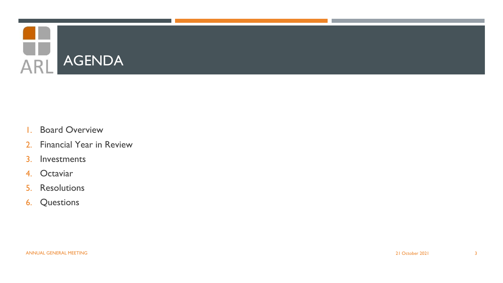

- 1. Board Overview
- 2. Financial Year in Review
- 3. Investments
- 4. Octaviar
- 5. Resolutions
- 6. Questions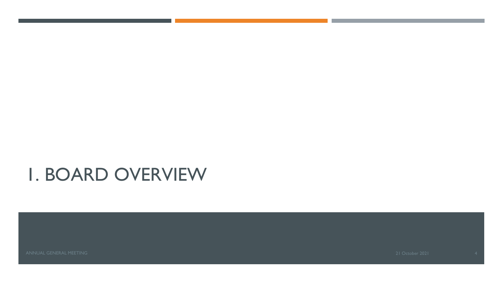## 1. BOARD OVERVIEW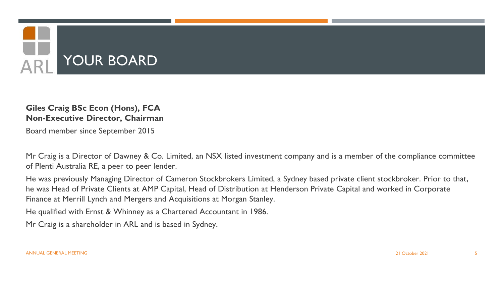

#### **Giles Craig BSc Econ (Hons), FCA Non-Executive Director, Chairman**

Board member since September 2015

Mr Craig is a Director of Dawney & Co. Limited, an NSX listed investment company and is a member of the compliance committee of Plenti Australia RE, a peer to peer lender.

He was previously Managing Director of Cameron Stockbrokers Limited, a Sydney based private client stockbroker. Prior to that, he was Head of Private Clients at AMP Capital, Head of Distribution at Henderson Private Capital and worked in Corporate Finance at Merrill Lynch and Mergers and Acquisitions at Morgan Stanley.

He qualified with Ernst & Whinney as a Chartered Accountant in 1986.

Mr Craig is a shareholder in ARL and is based in Sydney.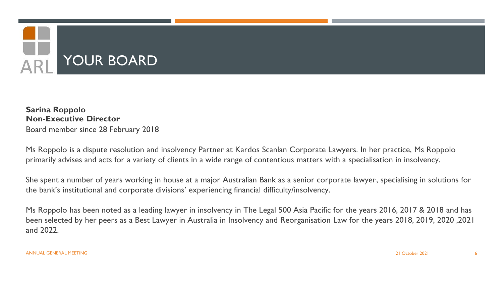

**Sarina Roppolo Non-Executive Director** Board member since 28 February 2018

Ms Roppolo is a dispute resolution and insolvency Partner at Kardos Scanlan Corporate Lawyers. In her practice, Ms Roppolo primarily advises and acts for a variety of clients in a wide range of contentious matters with a specialisation in insolvency.

She spent a number of years working in house at a major Australian Bank as a senior corporate lawyer, specialising in solutions for the bank's institutional and corporate divisions' experiencing financial difficulty/insolvency.

Ms Roppolo has been noted as a leading lawyer in insolvency in The Legal 500 Asia Pacific for the years 2016, 2017 & 2018 and has been selected by her peers as a Best Lawyer in Australia in Insolvency and Reorganisation Law for the years 2018, 2019, 2020 ,2021 and 2022.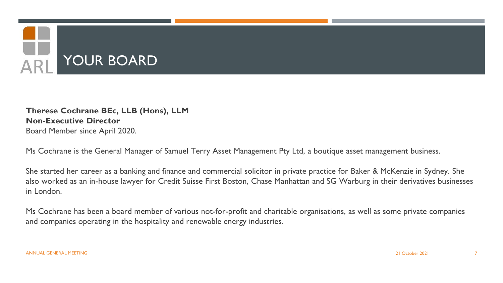

#### **Therese Cochrane BEc, LLB (Hons), LLM Non-Executive Director** Board Member since April 2020.

Ms Cochrane is the General Manager of Samuel Terry Asset Management Pty Ltd, a boutique asset management business.

She started her career as a banking and finance and commercial solicitor in private practice for Baker & McKenzie in Sydney. She also worked as an in-house lawyer for Credit Suisse First Boston, Chase Manhattan and SG Warburg in their derivatives businesses in London.

Ms Cochrane has been a board member of various not-for-profit and charitable organisations, as well as some private companies and companies operating in the hospitality and renewable energy industries.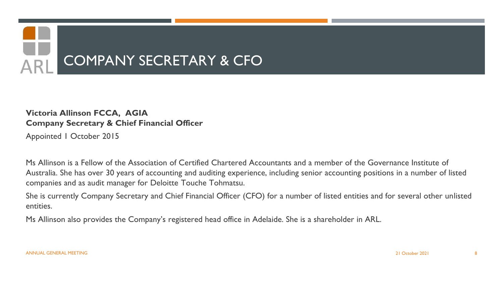

#### **Victoria Allinson FCCA, AGIA Company Secretary & Chief Financial Officer**

Appointed 1 October 2015

Ms Allinson is a Fellow of the Association of Certified Chartered Accountants and a member of the Governance Institute of Australia. She has over 30 years of accounting and auditing experience, including senior accounting positions in a number of listed companies and as audit manager for Deloitte Touche Tohmatsu.

She is currently Company Secretary and Chief Financial Officer (CFO) for a number of listed entities and for several other unlisted entities.

Ms Allinson also provides the Company's registered head office in Adelaide. She is a shareholder in ARL.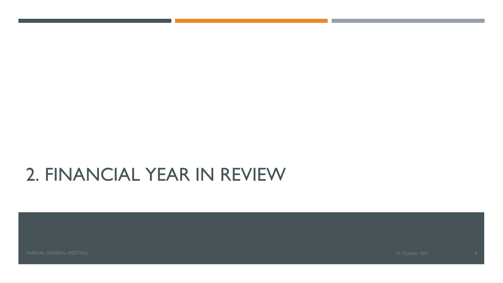## 2. FINANCIAL YEAR IN REVIEW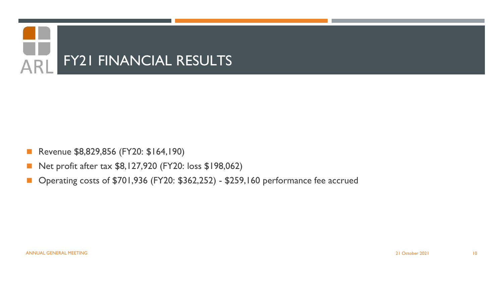

- Revenue \$8,829,856 (FY20: \$164,190)
- Net profit after tax \$8,127,920 (FY20: loss \$198,062)
- ◼ Operating costs of \$701,936 (FY20: \$362,252) \$259,160 performance fee accrued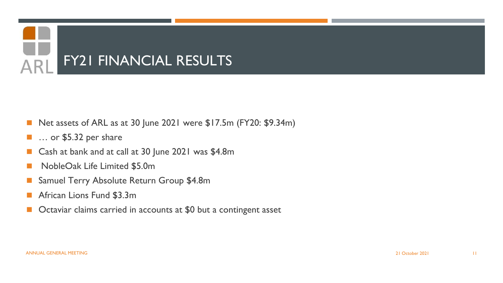

- Net assets of ARL as at 30 June 2021 were \$17.5m (FY20: \$9.34m)
- … or \$5.32 per share
- Cash at bank and at call at 30 June 2021 was \$4.8m
- NobleOak Life Limited \$5.0m
- Samuel Terry Absolute Return Group \$4.8m
- African Lions Fund \$3.3m
- Octaviar claims carried in accounts at \$0 but a contingent asset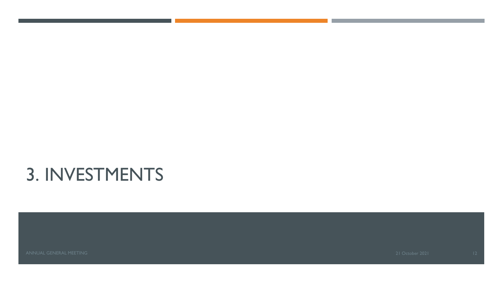## 3. INVESTMENTS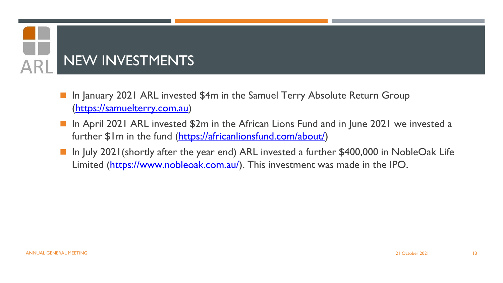# NEW INVESTMENTS

- In January 2021 ARL invested \$4m in the Samuel Terry Absolute Return Group ([https://samuelterry.com.au\)](https://samuelterry.com.au)
- In April 2021 ARL invested \$2m in the African Lions Fund and in June 2021 we invested a further \$1m in the fund [\(https://africanlionsfund.com/about/](https://africanlionsfund.com/about/))
- In July 2021 (shortly after the year end) ARL invested a further \$400,000 in NobleOak Life Limited (<https://www.nobleoak.com.au/>). This investment was made in the IPO.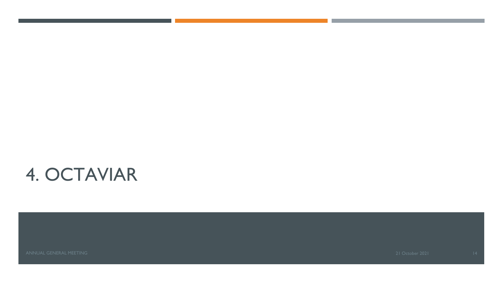## 4. OCTAVIAR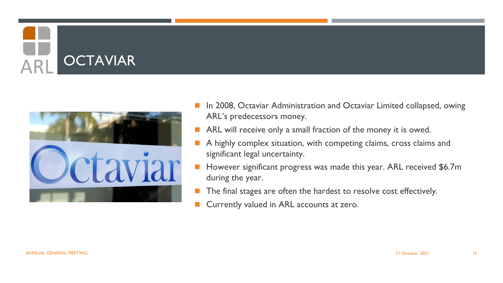# **OCTAVIAR**



- In 2008, Octaviar Administration and Octaviar Limited collapsed, owing ARL's predecessors money.
- ARL will receive only a small fraction of the money it is owed.
- A highly complex situation, with competing claims, cross claims and significant legal uncertainty.
- However significant progress was made this year. ARL received \$6.7m during the year.
- The final stages are often the hardest to resolve cost effectively.
- Currently valued in ARL accounts at zero.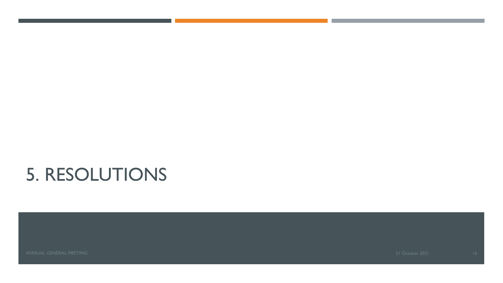## 5. RESOLUTIONS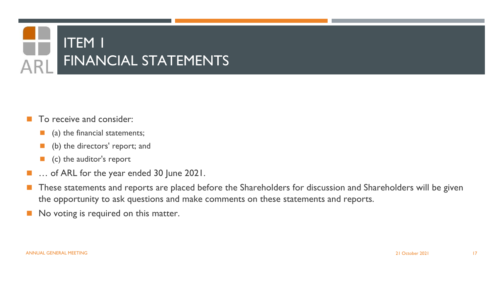

- To receive and consider:
	- (a) the financial statements;
	- (b) the directors' report; and
	- (c) the auditor's report
- ... of ARL for the year ended 30 June 2021.
- These statements and reports are placed before the Shareholders for discussion and Shareholders will be given the opportunity to ask questions and make comments on these statements and reports.
- No voting is required on this matter.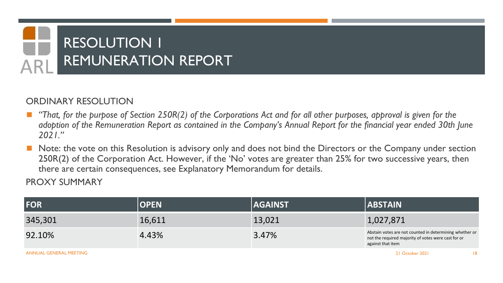# RESOLUTION 1 REMUNERATION REPORT

#### ORDINARY RESOLUTION

- ◼ *"That, for the purpose of Section 250R(2) of the Corporations Act and for all other purposes, approval is given for the adoption of the Remuneration Report as contained in the Company's Annual Report for the financial year ended 30th June 2021."*
- Note: the vote on this Resolution is advisory only and does not bind the Directors or the Company under section 250R(2) of the Corporation Act. However, if the 'No' votes are greater than 25% for two successive years, then there are certain consequences, see Explanatory Memorandum for details.

| FOR                    | <b>OPEN</b> | <b>AGAINST</b> | <b>ABSTAIN</b>                                                                                                                      |
|------------------------|-------------|----------------|-------------------------------------------------------------------------------------------------------------------------------------|
| 345,301                | 16,611      | 13,021         | 1,027,871                                                                                                                           |
| 92.10%                 | 4.43%       | 3.47%          | Abstain votes are not counted in determining whether or<br>not the required majority of votes were cast for or<br>against that item |
| ANNUAL GENERAL MEETING |             |                | 21 October 2021                                                                                                                     |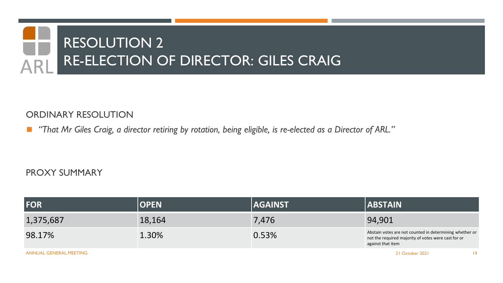# RESOLUTION 2 RE-ELECTION OF DIRECTOR: GILES CRAIG

#### ORDINARY RESOLUTION

■ "That Mr Giles Craig, a director retiring by rotation, being eligible, is re-elected as a Director of ARL."

#### PROXY SUMMARY

| FOR       | <b>OPEN</b> | <b>AGAINST</b> | <b>ABSTAIN</b>                                                                                                                      |
|-----------|-------------|----------------|-------------------------------------------------------------------------------------------------------------------------------------|
| 1,375,687 | 18,164      | 7,476          | 94,901                                                                                                                              |
| 98.17%    | 1.30%       | 0.53%          | Abstain votes are not counted in determining whether or<br>not the required majority of votes were cast for or<br>against that item |
|           |             |                |                                                                                                                                     |

ANNUAL GENERAL MEETING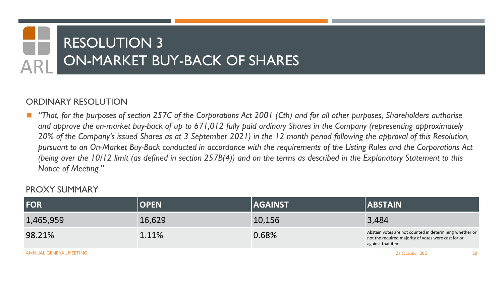# RESOLUTION 3 ON-MARKET BUY-BACK OF SHARES

#### ORDINARY RESOLUTION

◼ *"That, for the purposes of section 257C of the Corporations Act 2001 (Cth) and for all other purposes, Shareholders authorise and approve the on-market buy-back of up to 671,012 fully paid ordinary Shares in the Company (representing approximately 20% of the Company's issued Shares as at 3 September 2021) in the 12 month period following the approval of this Resolution, pursuant to an On-Market Buy-Back conducted in accordance with the requirements of the Listing Rules and the Corporations Act (being over the 10/12 limit (as defined in section 257B(4)) and on the terms as described in the Explanatory Statement to this Notice of Meeting."*

#### PROXY SUMMARY

| <b>FOR</b> | <b>OPEN</b> | <b>AGAINST</b> | <b>ABSTAIN</b>                                                                                                                      |
|------------|-------------|----------------|-------------------------------------------------------------------------------------------------------------------------------------|
| 1,465,959  | 16,629      | 10,156         | 3,484                                                                                                                               |
| 98.21%     | 1.11%       | 0.68%          | Abstain votes are not counted in determining whether or<br>not the required majority of votes were cast for or<br>against that item |
|            |             |                |                                                                                                                                     |

ANNUAL GENERAL MEETING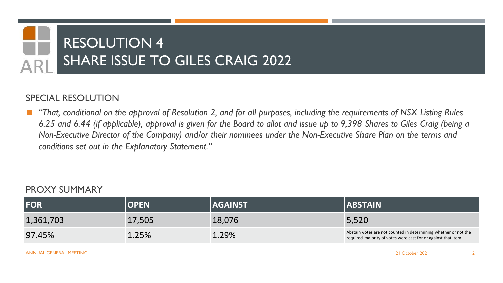# RESOLUTION 4 SHARE ISSUE TO GILES CRAIG 2022

#### SPECIAL RESOLUTION

◼ *"That, conditional on the approval of Resolution 2, and for all purposes, including the requirements of NSX Listing Rules 6.25 and 6.44 (if applicable), approval is given for the Board to allot and issue up to 9,398 Shares to Giles Craig (being a Non-Executive Director of the Company) and/or their nominees under the Non-Executive Share Plan on the terms and conditions set out in the Explanatory Statement."*

| <b>FOR</b> | <b>OPEN</b> | <b>AGAINST</b> | <b>ABSTAIN</b>                                                                                                                   |
|------------|-------------|----------------|----------------------------------------------------------------------------------------------------------------------------------|
| 1,361,703  | 17,505      | 18,076         | 5,520                                                                                                                            |
| 97.45%     | $1.25\%$    | 1.29%          | Abstain votes are not counted in determining whether or not the<br>required majority of votes were cast for or against that item |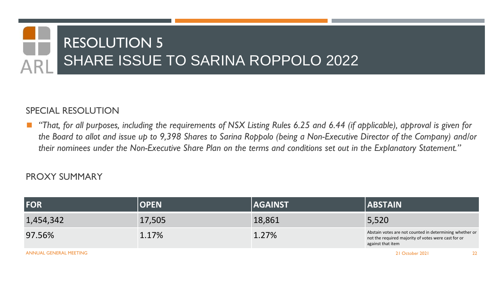# RESOLUTION 5 SHARE ISSUE TO SARINA ROPPOLO 2022

#### SPECIAL RESOLUTION

◼ *"That, for all purposes, including the requirements of NSX Listing Rules 6.25 and 6.44 (if applicable), approval is given for the Board to allot and issue up to 9,398 Shares to Sarina Roppolo (being a Non-Executive Director of the Company) and/or their nominees under the Non-Executive Share Plan on the terms and conditions set out in the Explanatory Statement."*

| FOR                    | <b>OPEN</b> | <b>AGAINST</b> | <b>ABSTAIN</b>                                                                                                                      |
|------------------------|-------------|----------------|-------------------------------------------------------------------------------------------------------------------------------------|
| 1,454,342              | 17,505      | 18,861         | 5,520                                                                                                                               |
| 97.56%                 | 1.17%       | 1.27%          | Abstain votes are not counted in determining whether or<br>not the required majority of votes were cast for or<br>against that item |
| ANNUAL GENERAL MEETING |             |                | 21 October 2021                                                                                                                     |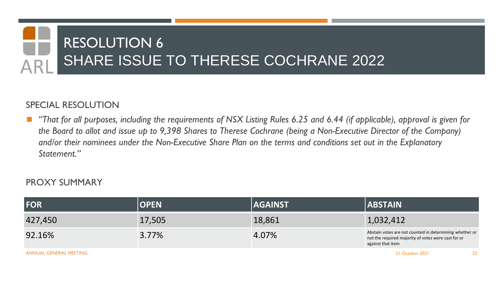## RESOLUTION 6 SHARE ISSUE TO THERESE COCHRANE 2022

#### SPECIAL RESOLUTION

◼ *"That for all purposes, including the requirements of NSX Listing Rules 6.25 and 6.44 (if applicable), approval is given for the Board to allot and issue up to 9,398 Shares to Therese Cochrane (being a Non-Executive Director of the Company) and/or their nominees under the Non-Executive Share Plan on the terms and conditions set out in the Explanatory Statement."*

| <b>FOR</b>             | <b>OPEN</b> | <b>AGAINST</b> | <b>ABSTAIN</b>                                                                                                                      |
|------------------------|-------------|----------------|-------------------------------------------------------------------------------------------------------------------------------------|
| 427,450                | 17,505      | 18,861         | 1,032,412                                                                                                                           |
| 92.16%                 | 3.77%       | 4.07%          | Abstain votes are not counted in determining whether or<br>not the required majority of votes were cast for or<br>against that item |
| ANNUAL GENERAL MEETING |             |                | 21 October 2021                                                                                                                     |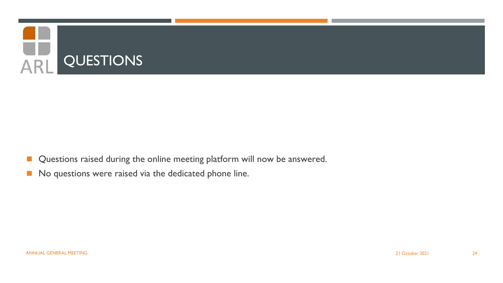

- Questions raised during the online meeting platform will now be answered.
- No questions were raised via the dedicated phone line.